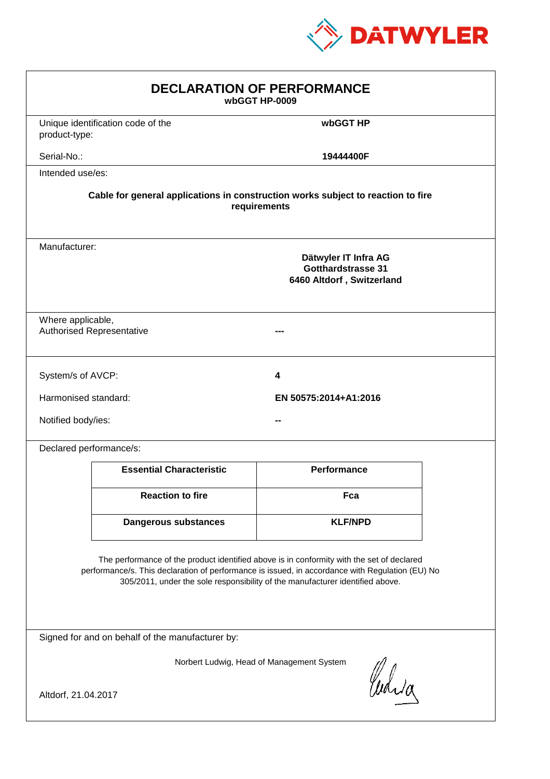

| <b>DECLARATION OF PERFORMANCE</b><br>wbGGT HP-0009                                                                                                                                                                                                                            |                                                                                          |                       |  |  |  |
|-------------------------------------------------------------------------------------------------------------------------------------------------------------------------------------------------------------------------------------------------------------------------------|------------------------------------------------------------------------------------------|-----------------------|--|--|--|
| product-type:                                                                                                                                                                                                                                                                 | Unique identification code of the                                                        | wbGGT HP              |  |  |  |
| Serial-No.:                                                                                                                                                                                                                                                                   |                                                                                          | 19444400F             |  |  |  |
| Intended use/es:                                                                                                                                                                                                                                                              |                                                                                          |                       |  |  |  |
| Cable for general applications in construction works subject to reaction to fire<br>requirements                                                                                                                                                                              |                                                                                          |                       |  |  |  |
|                                                                                                                                                                                                                                                                               | Manufacturer:<br>Dätwyler IT Infra AG<br>Gotthardstrasse 31<br>6460 Altdorf, Switzerland |                       |  |  |  |
|                                                                                                                                                                                                                                                                               | Where applicable,<br><b>Authorised Representative</b>                                    |                       |  |  |  |
| System/s of AVCP:                                                                                                                                                                                                                                                             |                                                                                          | 4                     |  |  |  |
| Harmonised standard:                                                                                                                                                                                                                                                          |                                                                                          | EN 50575:2014+A1:2016 |  |  |  |
| Notified body/ies:                                                                                                                                                                                                                                                            |                                                                                          |                       |  |  |  |
| Declared performance/s:                                                                                                                                                                                                                                                       |                                                                                          |                       |  |  |  |
|                                                                                                                                                                                                                                                                               | <b>Essential Characteristic</b>                                                          | <b>Performance</b>    |  |  |  |
|                                                                                                                                                                                                                                                                               | <b>Reaction to fire</b>                                                                  | Fca                   |  |  |  |
|                                                                                                                                                                                                                                                                               | <b>Dangerous substances</b>                                                              | <b>KLF/NPD</b>        |  |  |  |
| The performance of the product identified above is in conformity with the set of declared<br>performance/s. This declaration of performance is issued, in accordance with Regulation (EU) No<br>305/2011, under the sole responsibility of the manufacturer identified above. |                                                                                          |                       |  |  |  |
| Signed for and on behalf of the manufacturer by:                                                                                                                                                                                                                              |                                                                                          |                       |  |  |  |
| Norbert Ludwig, Head of Management System<br>Curia                                                                                                                                                                                                                            |                                                                                          |                       |  |  |  |
| Altdorf, 21.04.2017                                                                                                                                                                                                                                                           |                                                                                          |                       |  |  |  |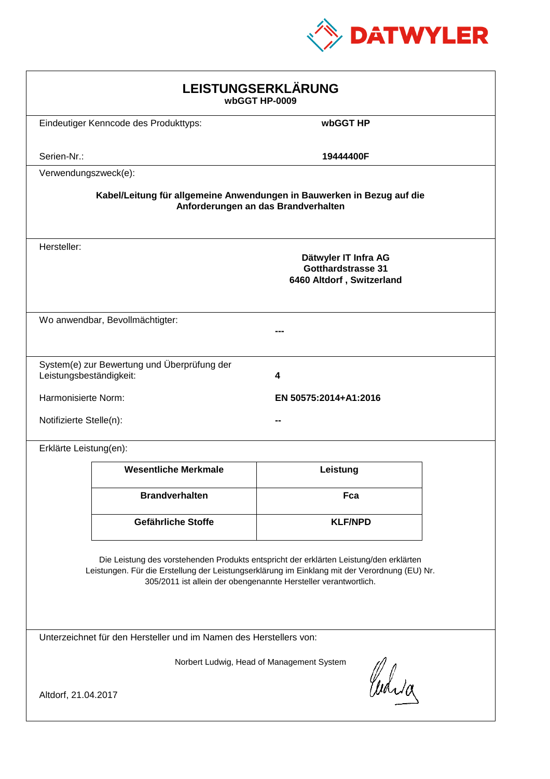

| LEISTUNGSERKLÄRUNG<br>wbGGT HP-0009                                                                                                                                                                                                                        |                                                                             |                                                                                |  |  |  |
|------------------------------------------------------------------------------------------------------------------------------------------------------------------------------------------------------------------------------------------------------------|-----------------------------------------------------------------------------|--------------------------------------------------------------------------------|--|--|--|
|                                                                                                                                                                                                                                                            | Eindeutiger Kenncode des Produkttyps:                                       | wbGGT HP                                                                       |  |  |  |
| Serien-Nr.:                                                                                                                                                                                                                                                |                                                                             | 19444400F                                                                      |  |  |  |
| Verwendungszweck(e):                                                                                                                                                                                                                                       |                                                                             |                                                                                |  |  |  |
| Kabel/Leitung für allgemeine Anwendungen in Bauwerken in Bezug auf die<br>Anforderungen an das Brandverhalten                                                                                                                                              |                                                                             |                                                                                |  |  |  |
| Hersteller:                                                                                                                                                                                                                                                |                                                                             | Dätwyler IT Infra AG<br><b>Gotthardstrasse 31</b><br>6460 Altdorf, Switzerland |  |  |  |
| Wo anwendbar, Bevollmächtigter:                                                                                                                                                                                                                            |                                                                             |                                                                                |  |  |  |
|                                                                                                                                                                                                                                                            | System(e) zur Bewertung und Überprüfung der<br>Leistungsbeständigkeit:<br>4 |                                                                                |  |  |  |
| Harmonisierte Norm:                                                                                                                                                                                                                                        |                                                                             | EN 50575:2014+A1:2016                                                          |  |  |  |
| Notifizierte Stelle(n):                                                                                                                                                                                                                                    |                                                                             |                                                                                |  |  |  |
| Erklärte Leistung(en):                                                                                                                                                                                                                                     |                                                                             |                                                                                |  |  |  |
|                                                                                                                                                                                                                                                            | <b>Wesentliche Merkmale</b>                                                 | Leistung                                                                       |  |  |  |
|                                                                                                                                                                                                                                                            | <b>Brandverhalten</b>                                                       | Fca                                                                            |  |  |  |
|                                                                                                                                                                                                                                                            | Gefährliche Stoffe                                                          | <b>KLF/NPD</b>                                                                 |  |  |  |
| Die Leistung des vorstehenden Produkts entspricht der erklärten Leistung/den erklärten<br>Leistungen. Für die Erstellung der Leistungserklärung im Einklang mit der Verordnung (EU) Nr.<br>305/2011 ist allein der obengenannte Hersteller verantwortlich. |                                                                             |                                                                                |  |  |  |
| Unterzeichnet für den Hersteller und im Namen des Herstellers von:                                                                                                                                                                                         |                                                                             |                                                                                |  |  |  |
| Norbert Ludwig, Head of Management System                                                                                                                                                                                                                  |                                                                             |                                                                                |  |  |  |
| Curia<br>Altdorf, 21.04.2017                                                                                                                                                                                                                               |                                                                             |                                                                                |  |  |  |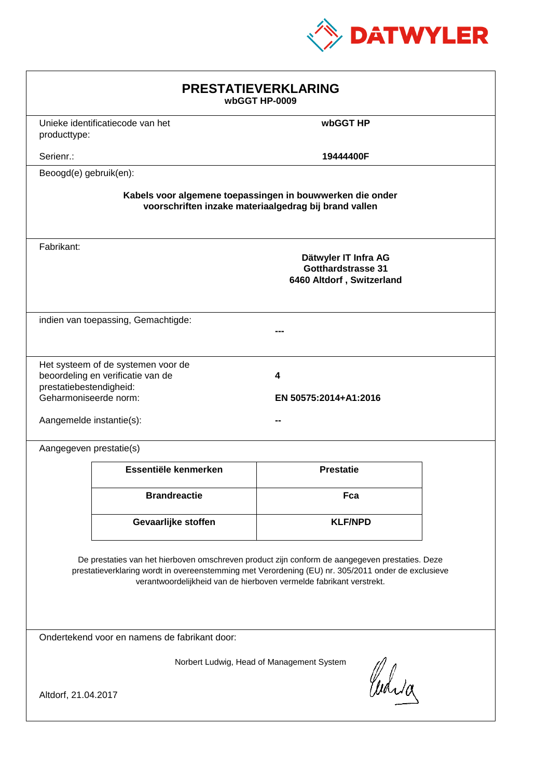

| Unieke identificatiecode van het<br>wbGGT HP<br>producttype:                                                                                                                                                                                                                |  |  |  |  |
|-----------------------------------------------------------------------------------------------------------------------------------------------------------------------------------------------------------------------------------------------------------------------------|--|--|--|--|
| Serienr.:<br>19444400F                                                                                                                                                                                                                                                      |  |  |  |  |
| Beoogd(e) gebruik(en):                                                                                                                                                                                                                                                      |  |  |  |  |
| Kabels voor algemene toepassingen in bouwwerken die onder<br>voorschriften inzake materiaalgedrag bij brand vallen                                                                                                                                                          |  |  |  |  |
| Fabrikant:<br>Dätwyler IT Infra AG<br><b>Gotthardstrasse 31</b><br>6460 Altdorf, Switzerland                                                                                                                                                                                |  |  |  |  |
| indien van toepassing, Gemachtigde:                                                                                                                                                                                                                                         |  |  |  |  |
| Het systeem of de systemen voor de<br>beoordeling en verificatie van de<br>4<br>prestatiebestendigheid:<br>Geharmoniseerde norm:<br>EN 50575:2014+A1:2016<br>Aangemelde instantie(s):                                                                                       |  |  |  |  |
| Aangegeven prestatie(s)                                                                                                                                                                                                                                                     |  |  |  |  |
| Essentiële kenmerken<br><b>Prestatie</b>                                                                                                                                                                                                                                    |  |  |  |  |
| <b>Brandreactie</b><br>Fca                                                                                                                                                                                                                                                  |  |  |  |  |
| Gevaarlijke stoffen<br><b>KLF/NPD</b>                                                                                                                                                                                                                                       |  |  |  |  |
| De prestaties van het hierboven omschreven product zijn conform de aangegeven prestaties. Deze<br>prestatieverklaring wordt in overeenstemming met Verordening (EU) nr. 305/2011 onder de exclusieve<br>verantwoordelijkheid van de hierboven vermelde fabrikant verstrekt. |  |  |  |  |
| Ondertekend voor en namens de fabrikant door:                                                                                                                                                                                                                               |  |  |  |  |
| Norbert Ludwig, Head of Management System<br>Curia<br>Altdorf, 21.04.2017                                                                                                                                                                                                   |  |  |  |  |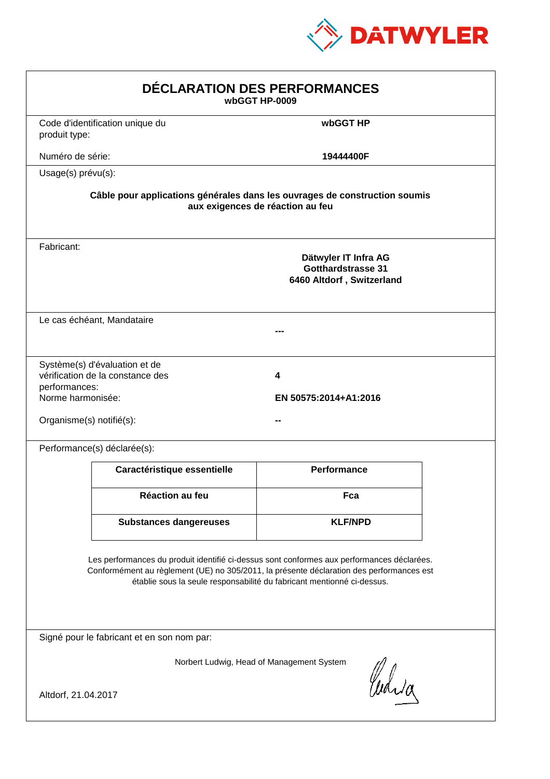

| DÉCLARATION DES PERFORMANCES<br>wbGGT HP-0009                                                                                                                                                                                                                    |                                                                                                                |                                                                                |  |  |  |
|------------------------------------------------------------------------------------------------------------------------------------------------------------------------------------------------------------------------------------------------------------------|----------------------------------------------------------------------------------------------------------------|--------------------------------------------------------------------------------|--|--|--|
| produit type:                                                                                                                                                                                                                                                    | Code d'identification unique du                                                                                | wbGGT HP                                                                       |  |  |  |
| Numéro de série:                                                                                                                                                                                                                                                 |                                                                                                                | 19444400F                                                                      |  |  |  |
| Usage(s) prévu(s):                                                                                                                                                                                                                                               |                                                                                                                |                                                                                |  |  |  |
|                                                                                                                                                                                                                                                                  | Câble pour applications générales dans les ouvrages de construction soumis<br>aux exigences de réaction au feu |                                                                                |  |  |  |
| Fabricant:                                                                                                                                                                                                                                                       |                                                                                                                | Dätwyler IT Infra AG<br><b>Gotthardstrasse 31</b><br>6460 Altdorf, Switzerland |  |  |  |
|                                                                                                                                                                                                                                                                  | Le cas échéant, Mandataire                                                                                     |                                                                                |  |  |  |
| performances:<br>Norme harmonisée:                                                                                                                                                                                                                               | Système(s) d'évaluation et de<br>vérification de la constance des<br>Organisme(s) notifié(s):                  | 4<br>EN 50575:2014+A1:2016                                                     |  |  |  |
|                                                                                                                                                                                                                                                                  | Performance(s) déclarée(s):                                                                                    |                                                                                |  |  |  |
|                                                                                                                                                                                                                                                                  | Caractéristique essentielle                                                                                    | Performance                                                                    |  |  |  |
|                                                                                                                                                                                                                                                                  | <b>Réaction au feu</b>                                                                                         | Fca                                                                            |  |  |  |
|                                                                                                                                                                                                                                                                  | <b>Substances dangereuses</b>                                                                                  | <b>KLF/NPD</b>                                                                 |  |  |  |
| Les performances du produit identifié ci-dessus sont conformes aux performances déclarées.<br>Conformément au règlement (UE) no 305/2011, la présente déclaration des performances est<br>établie sous la seule responsabilité du fabricant mentionné ci-dessus. |                                                                                                                |                                                                                |  |  |  |
| Signé pour le fabricant et en son nom par:                                                                                                                                                                                                                       |                                                                                                                |                                                                                |  |  |  |
| Altdorf, 21.04.2017                                                                                                                                                                                                                                              |                                                                                                                | Norbert Ludwig, Head of Management System<br>Curia                             |  |  |  |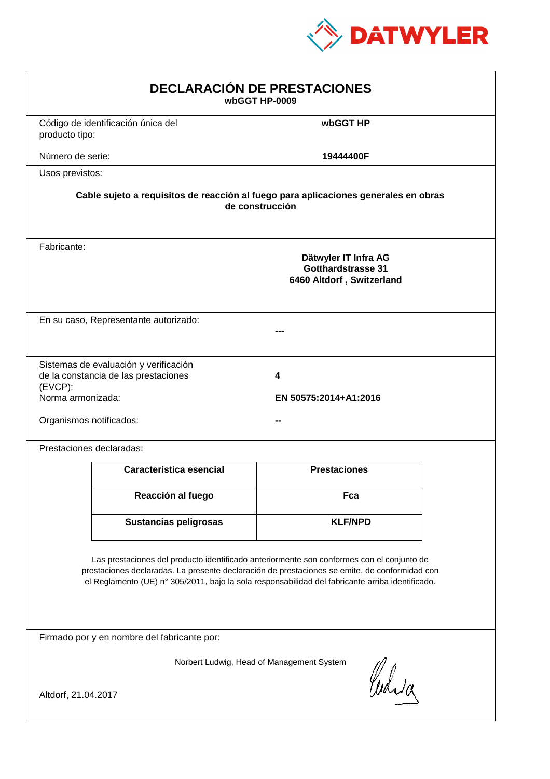

| <b>DECLARACIÓN DE PRESTACIONES</b><br>wbGGT HP-0009                                                                                                                                                                                                                                            |                                                                                                                                                             |                     |  |  |  |
|------------------------------------------------------------------------------------------------------------------------------------------------------------------------------------------------------------------------------------------------------------------------------------------------|-------------------------------------------------------------------------------------------------------------------------------------------------------------|---------------------|--|--|--|
| producto tipo:                                                                                                                                                                                                                                                                                 | Código de identificación única del                                                                                                                          | wbGGT HP            |  |  |  |
| Número de serie:                                                                                                                                                                                                                                                                               |                                                                                                                                                             | 19444400F           |  |  |  |
| Usos previstos:                                                                                                                                                                                                                                                                                |                                                                                                                                                             |                     |  |  |  |
|                                                                                                                                                                                                                                                                                                | Cable sujeto a requisitos de reacción al fuego para aplicaciones generales en obras<br>de construcción                                                      |                     |  |  |  |
| Fabricante:                                                                                                                                                                                                                                                                                    | Dätwyler IT Infra AG<br><b>Gotthardstrasse 31</b><br>6460 Altdorf, Switzerland                                                                              |                     |  |  |  |
|                                                                                                                                                                                                                                                                                                | En su caso, Representante autorizado:                                                                                                                       |                     |  |  |  |
| (EVCP):                                                                                                                                                                                                                                                                                        | Sistemas de evaluación y verificación<br>de la constancia de las prestaciones<br>4<br>Norma armonizada:<br>EN 50575:2014+A1:2016<br>Organismos notificados: |                     |  |  |  |
|                                                                                                                                                                                                                                                                                                | Prestaciones declaradas:                                                                                                                                    |                     |  |  |  |
|                                                                                                                                                                                                                                                                                                | Característica esencial                                                                                                                                     | <b>Prestaciones</b> |  |  |  |
|                                                                                                                                                                                                                                                                                                | Reacción al fuego                                                                                                                                           | Fca                 |  |  |  |
|                                                                                                                                                                                                                                                                                                | <b>Sustancias peligrosas</b>                                                                                                                                | <b>KLF/NPD</b>      |  |  |  |
| Las prestaciones del producto identificado anteriormente son conformes con el conjunto de<br>prestaciones declaradas. La presente declaración de prestaciones se emite, de conformidad con<br>el Reglamento (UE) nº 305/2011, bajo la sola responsabilidad del fabricante arriba identificado. |                                                                                                                                                             |                     |  |  |  |
| Firmado por y en nombre del fabricante por:                                                                                                                                                                                                                                                    |                                                                                                                                                             |                     |  |  |  |
| Norbert Ludwig, Head of Management System<br>Curia<br>Altdorf, 21.04.2017                                                                                                                                                                                                                      |                                                                                                                                                             |                     |  |  |  |